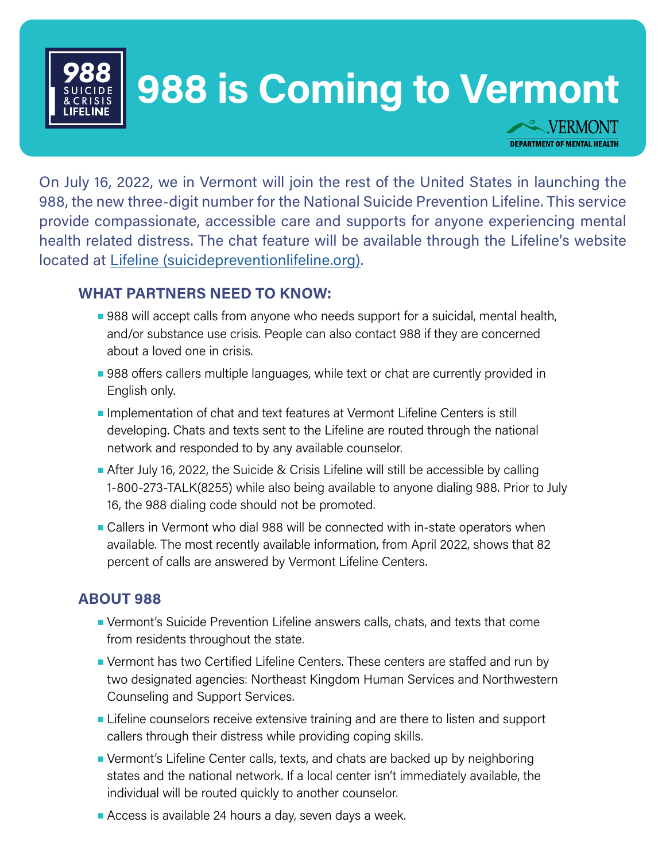

#### **988 is Coming to Vermont PORT**  $\bullet$

**DEPARTMENT OF MENTAL HEALTH** 

On July 16, 2022, we in Vermont will join the rest of the United States in launching the 988, the new three-digit number for the National Suicide Prevention Lifeline. This service provide compassionate, accessible care and supports for anyone experiencing mental health related distress. The chat feature will be available through the Lifeline's website located at [Lifeline \(suicidepreventionlifeline.org\)](https://suicidepreventionlifeline.org).

## **WHAT PARTNERS NEED TO KNOW:**

- 988 will accept calls from anyone who needs support for a suicidal, mental health, and/or substance use crisis. People can also contact 988 if they are concerned about a loved one in crisis.
- 988 offers callers multiple languages, while text or chat are currently provided in English only.
- Implementation of chat and text features at Vermont Lifeline Centers is still developing. Chats and texts sent to the Lifeline are routed through the national network and responded to by any available counselor.
- After July 16, 2022, the Suicide & Crisis Lifeline will still be accessible by calling 1-800-273-TALK(8255) while also being available to anyone dialing 988. Prior to July 16, the 988 dialing code should not be promoted.
- Callers in Vermont who dial 988 will be connected with in-state operators when available. The most recently available information, from April 2022, shows that 82 percent of calls are answered by Vermont Lifeline Centers.

#### **ABOUT 988**

- Vermont's Suicide Prevention Lifeline answers calls, chats, and texts that come from residents throughout the state.
- Vermont has two Certified Lifeline Centers. These centers are staffed and run by two designated agencies: Northeast Kingdom Human Services and Northwestern Counseling and Support Services.
- Lifeline counselors receive extensive training and are there to listen and support callers through their distress while providing coping skills.
- Vermont's Lifeline Center calls, texts, and chats are backed up by neighboring states and the national network. If a local center isn't immediately available, the individual will be routed quickly to another counselor.
- Access is available 24 hours a day, seven days a week.